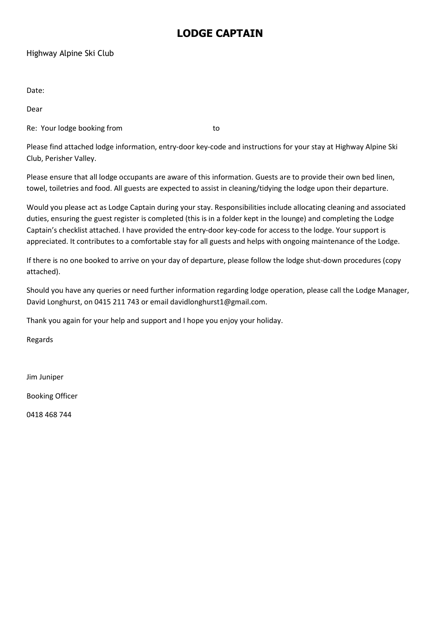# LODGE CAPTAIN

# Highway Alpine Ski Club

Date:

Dear

Re: Your lodge booking from the state of the state of the state of the state of the state of the state of the state of the state of the state of the state of the state of the state of the state of the state of the state of

Please find attached lodge information, entry-door key-code and instructions for your stay at Highway Alpine Ski Club, Perisher Valley.

Please ensure that all lodge occupants are aware of this information. Guests are to provide their own bed linen, towel, toiletries and food. All guests are expected to assist in cleaning/tidying the lodge upon their departure.

Would you please act as Lodge Captain during your stay. Responsibilities include allocating cleaning and associated duties, ensuring the guest register is completed (this is in a folder kept in the lounge) and completing the Lodge Captain's checklist attached. I have provided the entry-door key-code for access to the lodge. Your support is appreciated. It contributes to a comfortable stay for all guests and helps with ongoing maintenance of the Lodge.

If there is no one booked to arrive on your day of departure, please follow the lodge shut-down procedures (copy attached).

Should you have any queries or need further information regarding lodge operation, please call the Lodge Manager, David Longhurst, on 0415 211 743 or email davidlonghurst1@gmail.com.

Thank you again for your help and support and I hope you enjoy your holiday.

Regards

Jim Juniper

Booking Officer

0418 468 744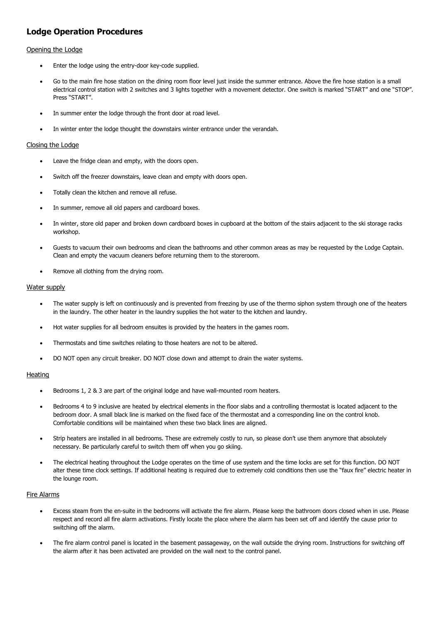# Lodge Operation Procedures

## Opening the Lodge

- Enter the lodge using the entry-door key-code supplied.
- Go to the main fire hose station on the dining room floor level just inside the summer entrance. Above the fire hose station is a small electrical control station with 2 switches and 3 lights together with a movement detector. One switch is marked "START" and one "STOP". Press "START"
- In summer enter the lodge through the front door at road level.
- In winter enter the lodge thought the downstairs winter entrance under the verandah.

## Closing the Lodge

- Leave the fridge clean and empty, with the doors open.
- Switch off the freezer downstairs, leave clean and empty with doors open.
- Totally clean the kitchen and remove all refuse.
- In summer, remove all old papers and cardboard boxes.
- In winter, store old paper and broken down cardboard boxes in cupboard at the bottom of the stairs adjacent to the ski storage racks workshop.
- Guests to vacuum their own bedrooms and clean the bathrooms and other common areas as may be requested by the Lodge Captain. Clean and empty the vacuum cleaners before returning them to the storeroom.
- Remove all clothing from the drying room.

#### Water supply

- The water supply is left on continuously and is prevented from freezing by use of the thermo siphon system through one of the heaters in the laundry. The other heater in the laundry supplies the hot water to the kitchen and laundry.
- Hot water supplies for all bedroom ensuites is provided by the heaters in the games room.
- Thermostats and time switches relating to those heaters are not to be altered.
- DO NOT open any circuit breaker. DO NOT close down and attempt to drain the water systems.

#### **Heating**

- Bedrooms 1, 2 & 3 are part of the original lodge and have wall-mounted room heaters.
- Bedrooms 4 to 9 inclusive are heated by electrical elements in the floor slabs and a controlling thermostat is located adjacent to the bedroom door. A small black line is marked on the fixed face of the thermostat and a corresponding line on the control knob. Comfortable conditions will be maintained when these two black lines are aligned.
- Strip heaters are installed in all bedrooms. These are extremely costly to run, so please don't use them anymore that absolutely necessary. Be particularly careful to switch them off when you go skiing.
- The electrical heating throughout the Lodge operates on the time of use system and the time locks are set for this function. DO NOT alter these time clock settings. If additional heating is required due to extremely cold conditions then use the "faux fire" electric heater in the lounge room.

#### Fire Alarms

- Excess steam from the en-suite in the bedrooms will activate the fire alarm. Please keep the bathroom doors closed when in use. Please respect and record all fire alarm activations. Firstly locate the place where the alarm has been set off and identify the cause prior to switching off the alarm.
- The fire alarm control panel is located in the basement passageway, on the wall outside the drying room. Instructions for switching off the alarm after it has been activated are provided on the wall next to the control panel.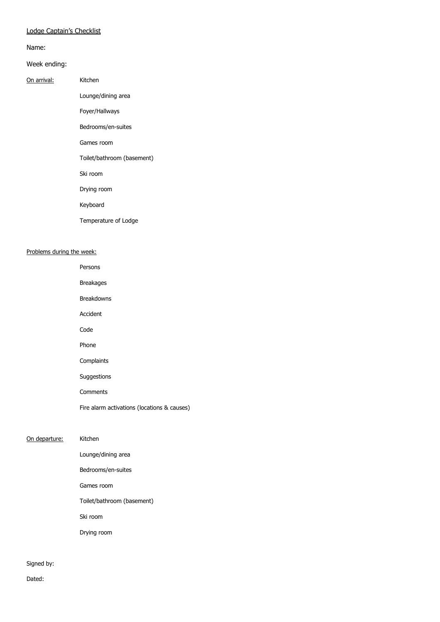# Lodge Captain's Checklist

Name:

#### Week ending:

#### On arrival: Kitchen

Lounge/dining area

Foyer/Hallways

Bedrooms/en-suites

Games room

Toilet/bathroom (basement)

Ski room

Drying room

Keyboard

Temperature of Lodge

## Problems during the week:

 Persons Breakages Breakdowns Accident Code Phone Complaints Suggestions Comments Fire alarm activations (locations & causes) On departure: Kitchen Lounge/dining area Bedrooms/en-suites Games room

Toilet/bathroom (basement)

Ski room

Drying room

Signed by:

Dated: